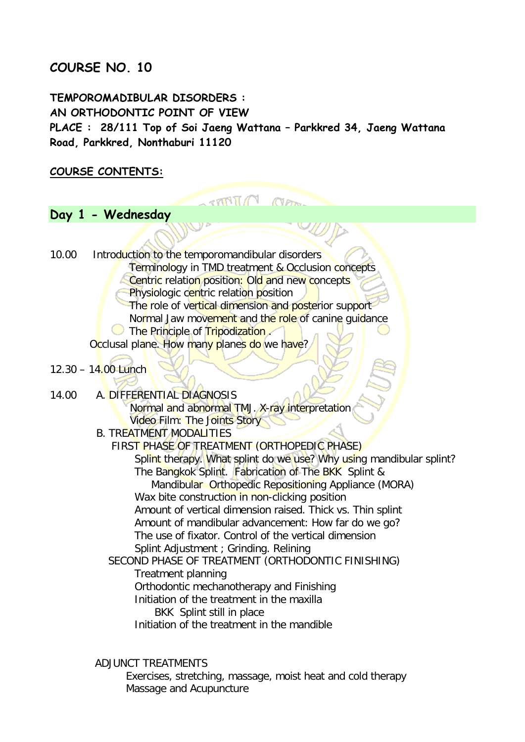## **COURSE NO. 10**

**TEMPOROMADIBULAR DISORDERS : AN ORTHODONTIC POINT OF VIEW PLACE : 28/111 Top of Soi Jaeng Wattana – Parkkred 34, Jaeng Wattana Road, Parkkred, Nonthaburi 11120** 

**TIME** 

### **COURSE CONTENTS:**

# **Day 1 - Wednesday**

10.00 Introduction to the temporomandibular disorders Terminology in TMD treatment & Occlusion concepts Centric relation position: Old and new concepts Physiologic centric relation position The role of vertical dimension and posterior support Normal Jaw movement and the role of canine quidance **The Principle of Tripodization.** Occlusal plane. How many planes do we have?  $12.30 - 14.00$  Lunch 14.00 A. DIFFERENTIAL DIAGNOSIS Normal and abnormal TMJ. X-ray interpretation Video Film: The Joints Story B. TREATMENT MODALITIES FIRST PHASE OF TREATMENT (ORTHOPEDIC PHASE) Splint therapy. What splint do we use? Why using mandibular splint? The Bangkok Splint. Fabrication of The BKK Splint & Mandibular Orthopedic Repositioning Appliance (MORA) Wax bite construction in non-clicking position Amount of vertical dimension raised. Thick vs. Thin splint Amount of mandibular advancement: How far do we go? The use of fixator. Control of the vertical dimension Splint Adjustment ; Grinding. Relining SECOND PHASE OF TREATMENT (ORTHODONTIC FINISHING) Treatment planning Orthodontic mechanotherapy and Finishing Initiation of the treatment in the maxilla BKK Splint still in place Initiation of the treatment in the mandible ADJUNCT TREATMENTS

 Exercises, stretching, massage, moist heat and cold therapy Massage and Acupuncture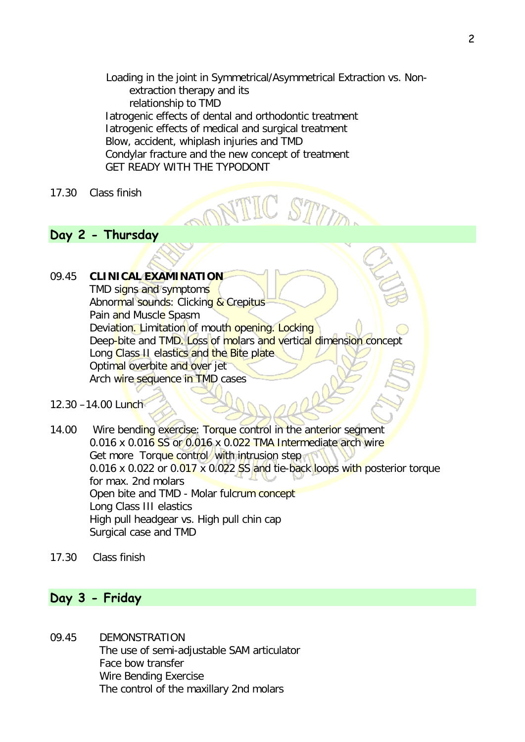Loading in the joint in Symmetrical/Asymmetrical Extraction vs. Non extraction therapy and its relationship to TMD Iatrogenic effects of dental and orthodontic treatment Iatrogenic effects of medical and surgical treatment Blow, accident, whiplash injuries and TMD Condylar fracture and the new concept of treatment GET READY WITH THE TYPODONT

#### 17.30 Class finish

### **Day 2 - Thursday**

#### 09.45 **CLINICAL EXAMINATION**

TMD signs and symptoms Abnormal sounds: Clicking & Crepitus Pain and Muscle Spasm Deviation. Limitation of mouth opening. Locking Deep-bite and TMD. Loss of molars and vertical dimension concept Long Class II elastics and the Bite plate. Optimal overbite and over jet Arch wire sequence in TMD cases

12.30 –14.00 Lunch

14.00 Wire bending exercise: Torque control in the anterior segment 0.016 x 0.016 SS or 0.016 x 0.022 TMA Intermediate arch wire Get more Torque control with intrusion step 0.016 x 0.022 or 0.017 x 0.022 SS and tie-back loops with posterior torque for max. 2nd molars Open bite and TMD - Molar fulcrum concept Long Class III elastics High pull headgear vs. High pull chin cap Surgical case and TMD

17.30 Class finish

# **Day 3 - Friday**

09.45 DEMONSTRATION The use of semi-adjustable SAM articulator Face bow transfer Wire Bending Exercise The control of the maxillary 2nd molars